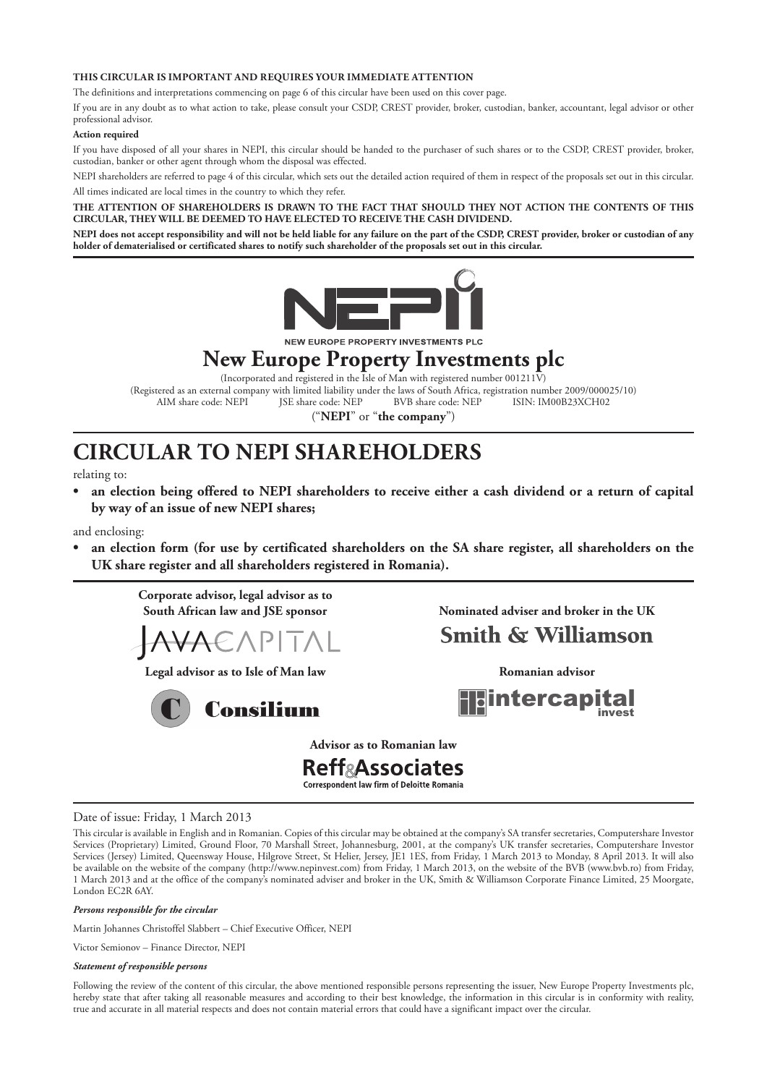### **THIS CIRCULAR IS IMPORTANT AND REQUIRES YOUR IMMEDIATE ATTENTION**

The definitions and interpretations commencing on page 6 of this circular have been used on this cover page.

If you are in any doubt as to what action to take, please consult your CSDP, CREST provider, broker, custodian, banker, accountant, legal advisor or other professional advisor.

### **Action required**

If you have disposed of all your shares in NEPI, this circular should be handed to the purchaser of such shares or to the CSDP, CREST provider, broker, custodian, banker or other agent through whom the disposal was effected.

NEPI shareholders are referred to page 4 of this circular, which sets out the detailed action required of them in respect of the proposals set out in this circular. All times indicated are local times in the country to which they refer.

### **THE ATTENTION OF SHAREHOLDERS IS DRAWN TO THE FACT THAT SHOULD THEY NOT ACTION THE CONTENTS OF THIS CIRCULAR, THEY WILL BE DEEMED TO HAVE ELECTED TO RECEIVE THE CASH DIVIDEND.**

**NEPI does not accept responsibility and will not be held liable for any failure on the part of the CSDP, CREST provider, broker or custodian of any holder of dematerialised or certificated shares to notify such shareholder of the proposals set out in this circular.**



NEW EUROPE PROPERTY INVESTMENTS PLC

# **New Europe Property Investments plc**

(Incorporated and registered in the Isle of Man with registered number 001211V) (Registered as an external company with limited liability under the laws of South Africa, registration number 2009/000025/10)<br>AIM share code: NEPI [SE share code: NEP BVB share code: NEP [SIN: IM00B23XCH02 AIM share code: NEPI

("**NEPI**" or "**the company**")

# **CIRCULAR TO NEPI SHAREHOLDERS**

relating to:

**• an election being offered to NEPI shareholders to receive either a cash dividend or a return of capital by way of an issue of new NEPI shares;**

and enclosing:

**• an election form (for use by certificated shareholders on the SA share register, all shareholders on the UK share register and all shareholders registered in Romania).**

 **Corporate advisor, legal advisor as to** 



 **Legal advisor as to Isle of Man law Romanian advisor**



 **South African law and JSE sponsor Nominated adviser and broker in the UK** 

# **Smith & Williamson**

tercapi

**Advisor as to Romanian law**

## **Reff&Associates Correspondent law firm of Deloitte Romania**

### Date of issue: Friday, 1 March 2013

This circular is available in English and in Romanian. Copies of this circular may be obtained at the company's SA transfer secretaries, Computershare Investor Services (Proprietary) Limited, Ground Floor, 70 Marshall Street, Johannesburg, 2001, at the company's UK transfer secretaries, Computershare Investor Services (Jersey) Limited, Queensway House, Hilgrove Street, St Helier, Jersey, JE1 1ES, from Friday, 1 March 2013 to Monday, 8 April 2013. It will also be available on the website of the company (http://www.nepinvest.com) from Friday, 1 March 2013, on the website of the BVB (www.bvb.ro) from Friday, 1 March 2013 and at the office of the company's nominated adviser and broker in the UK, Smith & Williamson Corporate Finance Limited, 25 Moorgate, London EC2R 6AY.

#### *Persons responsible for the circular*

Martin Johannes Christoffel Slabbert – Chief Executive Officer, NEPI

Victor Semionov - Finance Director, NEPI

### *Statement of responsible persons*

Following the review of the content of this circular, the above mentioned responsible persons representing the issuer, New Europe Property Investments plc, hereby state that after taking all reasonable measures and according to their best knowledge, the information in this circular is in conformity with reality, true and accurate in all material respects and does not contain material errors that could have a significant impact over the circular.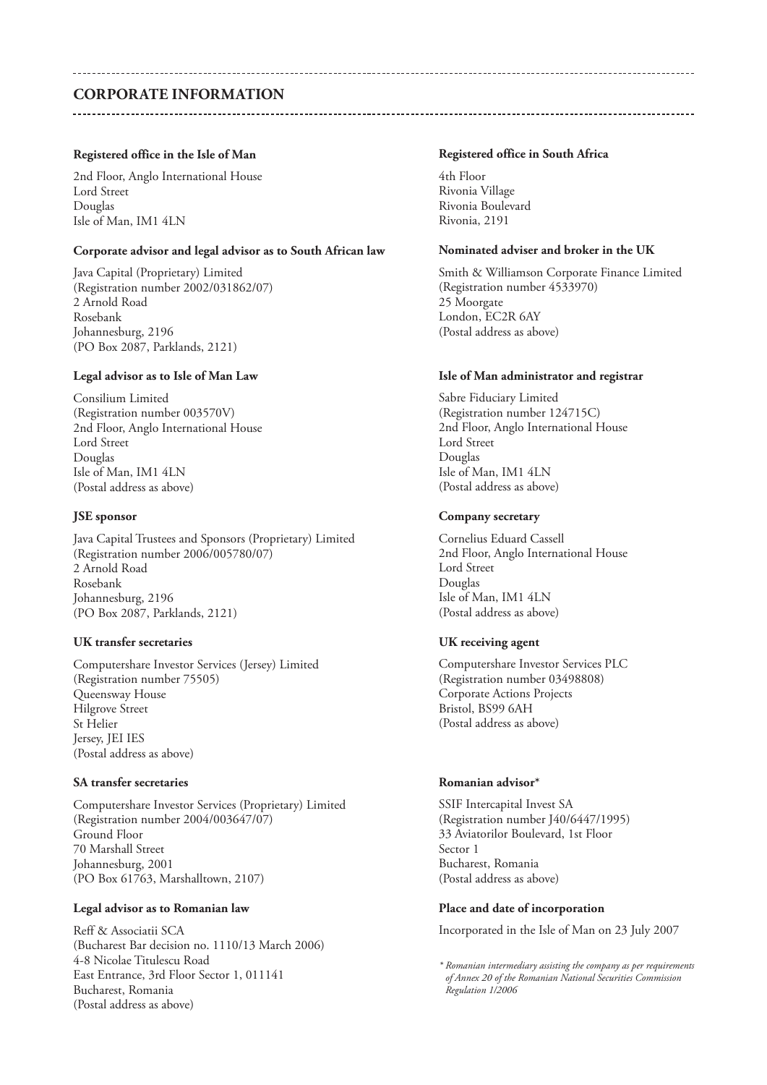## **CORPORATE INFORMATION**

### **Registered office in the Isle of Man**

2nd Floor, Anglo International House Lord Street Douglas Isle of Man, IM1 4LN

### **Corporate advisor and legal advisor as to South African law**

Java Capital (Proprietary) Limited (Registration number 2002/031862/07) 2 Arnold Road Rosebank Johannesburg, 2196 (PO Box 2087, Parklands, 2121)

### Legal advisor as to Isle of Man Law

Consilium Limited (Registration number 003570V) 2nd Floor, Anglo International House Lord Street Douglas Isle of Man, IM1 4LN (Postal address as above)

### **JSE sponsor**

Java Capital Trustees and Sponsors (Proprietary) Limited (Registration number 2006/005780/07) 2 Arnold Road Rosebank Johannesburg, 2196 (PO Box 2087, Parklands, 2121)

### **UK transfer secretaries**

Computershare Investor Services (Jersey) Limited (Registration number 75505) Queensway House Hilgrove Street St Helier Jersey, JEI IES (Postal address as above)

## **SA transfer secretaries**

Computershare Investor Services (Proprietary) Limited (Registration number 2004/003647/07) Ground Floor 70 Marshall Street Johannesburg, 2001 (PO Box 61763, Marshalltown, 2107)

## **Legal advisor as to Romanian law**

Reff & Associatii SCA (Bucharest Bar decision no. 1110/13 March 2006) 4-8 Nicolae Titulescu Road East Entrance, 3rd Floor Sector 1, 011141 Bucharest, Romania (Postal address as above)

### **Registered office in South Africa**

4th Floor Rivonia Village Rivonia Boulevard Rivonia, 2191

### **Nominated adviser and broker in the UK**

Smith & Williamson Corporate Finance Limited (Registration number 4533970) 25 Moorgate London, EC2R 6AY (Postal address as above)

### **Isle of Man administrator and registrar**

Sabre Fiduciary Limited (Registration number 124715C) 2nd Floor, Anglo International House Lord Street Douglas Isle of Man, IM1 4LN (Postal address as above)

### **Company secretary**

Cornelius Eduard Cassell 2nd Floor, Anglo International House Lord Street Douglas Isle of Man, IM1 4LN (Postal address as above)

### **UK receiving agent**

Computershare Investor Services PLC (Registration number 03498808) Corporate Actions Projects Bristol, BS99 6AH (Postal address as above)

### **Romanian advisor\***

SSIF Intercapital Invest SA (Registration number J40/6447/1995) 33 Aviatorilor Boulevard, 1st Floor Sector 1 Bucharest, Romania (Postal address as above)

### **Place and date of incorporation**

Incorporated in the Isle of Man on 23 July 2007

*\* Romanian intermediary assisting the company as per requirements of Annex 20 of the Romanian National Securities Commission Regulation 1/2006*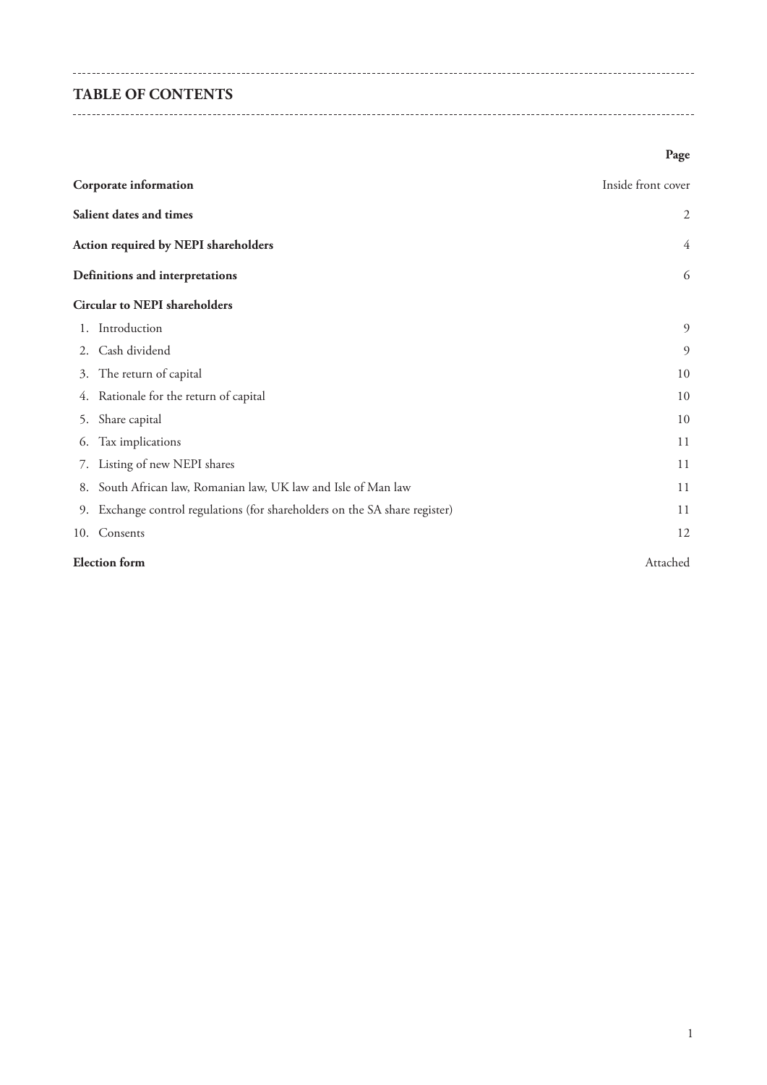# **TABLE OF CONTENTS**

 $-$ 

# **Page**

| Corporate information                |                                                                             | Inside front cover |  |  |
|--------------------------------------|-----------------------------------------------------------------------------|--------------------|--|--|
|                                      | Salient dates and times                                                     | $\overline{2}$     |  |  |
| Action required by NEPI shareholders |                                                                             |                    |  |  |
|                                      | Definitions and interpretations                                             | 6                  |  |  |
|                                      | <b>Circular to NEPI shareholders</b>                                        |                    |  |  |
|                                      | 1. Introduction                                                             | 9                  |  |  |
| 2.                                   | Cash dividend                                                               | 9                  |  |  |
|                                      | 3. The return of capital                                                    | 10                 |  |  |
|                                      | 4. Rationale for the return of capital                                      | 10                 |  |  |
| 5.                                   | Share capital                                                               | 10                 |  |  |
| 6.                                   | Tax implications                                                            | 11                 |  |  |
| 7.                                   | Listing of new NEPI shares                                                  | 11                 |  |  |
| 8.                                   | South African law, Romanian law, UK law and Isle of Man law                 | 11                 |  |  |
|                                      | 9. Exchange control regulations (for shareholders on the SA share register) | 11                 |  |  |
|                                      | 10. Consents                                                                | 12                 |  |  |
|                                      | <b>Election</b> form<br>Attached                                            |                    |  |  |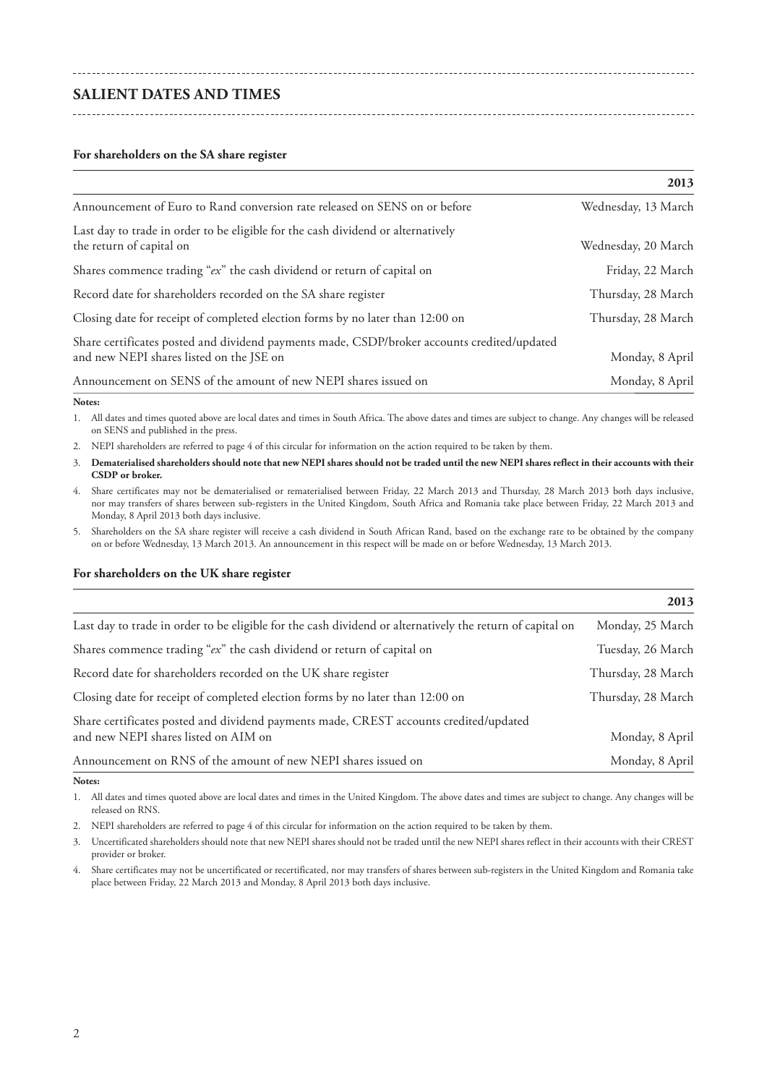## **SALIENT DATES AND TIMES**

### **For shareholders on the SA share register**

|                                                                                                                                         | 2013                |
|-----------------------------------------------------------------------------------------------------------------------------------------|---------------------|
| Announcement of Euro to Rand conversion rate released on SENS on or before                                                              | Wednesday, 13 March |
| Last day to trade in order to be eligible for the cash dividend or alternatively<br>the return of capital on                            | Wednesday, 20 March |
| Shares commence trading "ex" the cash dividend or return of capital on                                                                  | Friday, 22 March    |
| Record date for shareholders recorded on the SA share register                                                                          | Thursday, 28 March  |
| Closing date for receipt of completed election forms by no later than 12:00 on                                                          | Thursday, 28 March  |
| Share certificates posted and dividend payments made, CSDP/broker accounts credited/updated<br>and new NEPI shares listed on the JSE on | Monday, 8 April     |
| Announcement on SENS of the amount of new NEPI shares issued on                                                                         | Monday, 8 April     |

#### **Notes:**

1. All dates and times quoted above are local dates and times in South Africa. The above dates and times are subject to change. Any changes will be released on SENS and published in the press.

2. NEPI shareholders are referred to page 4 of this circular for information on the action required to be taken by them.

- 3. **Dematerialised shareholders should note that new NEPI shares should not be traded until the new NEPI shares reflect in their accounts with their CSDP or broker.**
- 4. Share certificates may not be dematerialised or rematerialised between Friday, 22 March 2013 and Thursday, 28 March 2013 both days inclusive, nor may transfers of shares between sub-registers in the United Kingdom, South Africa and Romania take place between Friday, 22 March 2013 and Monday, 8 April 2013 both days inclusive.
- 5. Shareholders on the SA share register will receive a cash dividend in South African Rand, based on the exchange rate to be obtained by the company on or before Wednesday, 13 March 2013. An announcement in this respect will be made on or before Wednesday, 13 March 2013.

### **For shareholders on the UK share register**

|                                                                                                                               | 2013               |
|-------------------------------------------------------------------------------------------------------------------------------|--------------------|
| Last day to trade in order to be eligible for the cash dividend or alternatively the return of capital on                     | Monday, 25 March   |
| Shares commence trading "ex" the cash dividend or return of capital on                                                        | Tuesday, 26 March  |
| Record date for shareholders recorded on the UK share register                                                                | Thursday, 28 March |
| Closing date for receipt of completed election forms by no later than 12:00 on                                                | Thursday, 28 March |
| Share certificates posted and dividend payments made, CREST accounts credited/updated<br>and new NEPI shares listed on AIM on | Monday, 8 April    |
| Announcement on RNS of the amount of new NEPI shares issued on                                                                | Monday, 8 April    |

#### **Notes:**

1. All dates and times quoted above are local dates and times in the United Kingdom. The above dates and times are subject to change. Any changes will be released on RNS.

2. NEPI shareholders are referred to page 4 of this circular for information on the action required to be taken by them.

3. Uncertificated shareholders should note that new NEPI shares should not be traded until the new NEPI shares reflect in their accounts with their CREST provider or broker.

4. Share certificates may not be uncertificated or recertificated, nor may transfers of shares between sub-registers in the United Kingdom and Romania take place between Friday, 22 March 2013 and Monday, 8 April 2013 both days inclusive.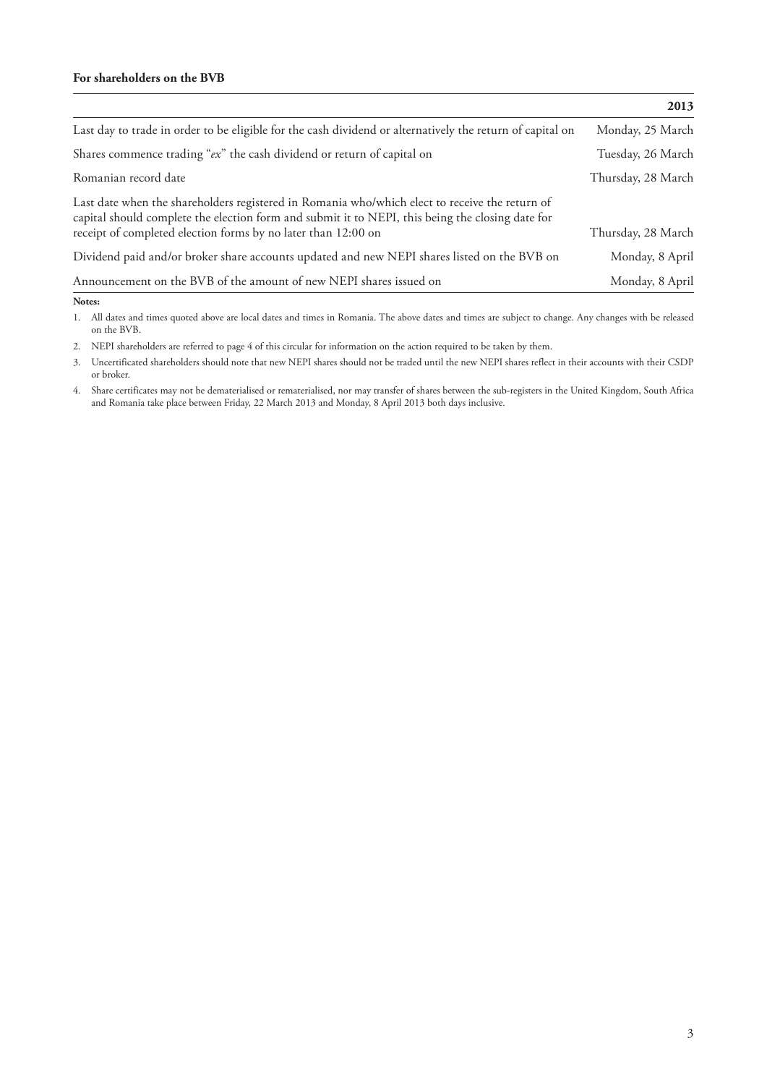## **For shareholders on the BVB**

|                                                                                                                                                                                                                                                                     | 2013               |
|---------------------------------------------------------------------------------------------------------------------------------------------------------------------------------------------------------------------------------------------------------------------|--------------------|
| Last day to trade in order to be eligible for the cash dividend or alternatively the return of capital on                                                                                                                                                           | Monday, 25 March   |
| Shares commence trading "ex" the cash dividend or return of capital on                                                                                                                                                                                              | Tuesday, 26 March  |
| Romanian record date                                                                                                                                                                                                                                                | Thursday, 28 March |
| Last date when the shareholders registered in Romania who/which elect to receive the return of<br>capital should complete the election form and submit it to NEPI, this being the closing date for<br>receipt of completed election forms by no later than 12:00 on | Thursday, 28 March |
| Dividend paid and/or broker share accounts updated and new NEPI shares listed on the BVB on                                                                                                                                                                         | Monday, 8 April    |
| Announcement on the BVB of the amount of new NEPI shares issued on                                                                                                                                                                                                  | Monday, 8 April    |

**Notes:**

1. All dates and times quoted above are local dates and times in Romania. The above dates and times are subject to change. Any changes with be released on the BVB.

2. NEPI shareholders are referred to page 4 of this circular for information on the action required to be taken by them.

3. Uncertificated shareholders should note that new NEPI shares should not be traded until the new NEPI shares reflect in their accounts with their CSDP or broker.

4. Share certificates may not be dematerialised or rematerialised, nor may transfer of shares between the sub-registers in the United Kingdom, South Africa and Romania take place between Friday, 22 March 2013 and Monday, 8 April 2013 both days inclusive.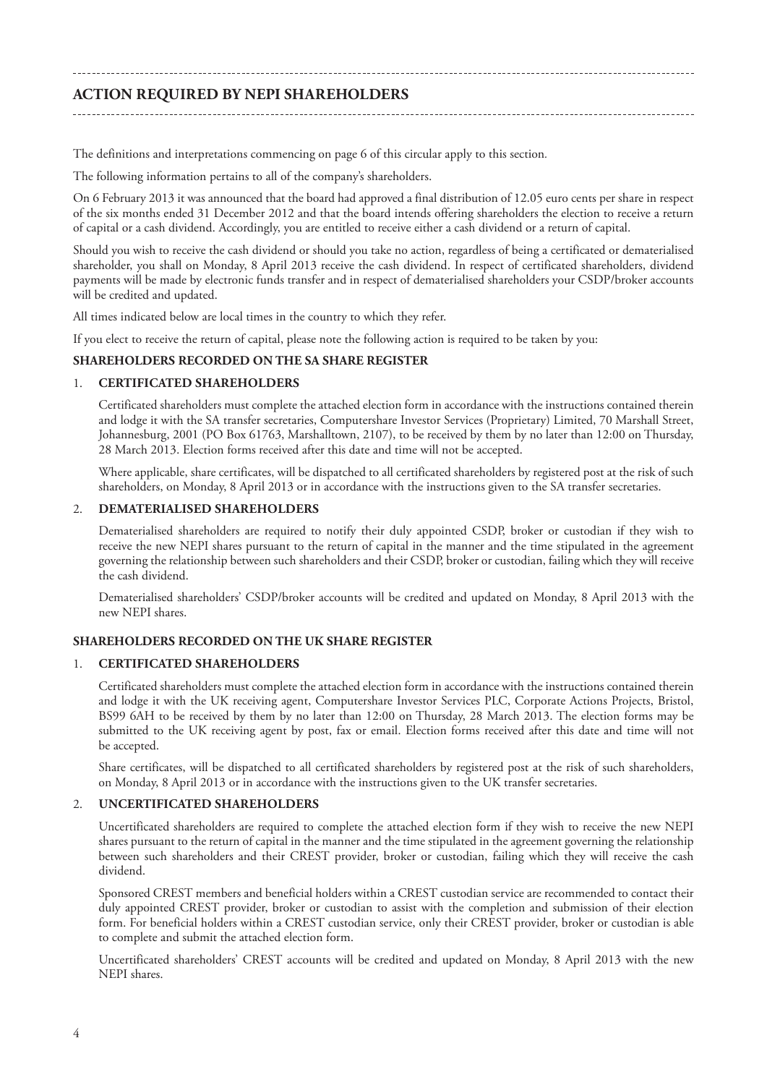# **ACTION REQUIRED BY NEPI SHAREHOLDERS**

The definitions and interpretations commencing on page 6 of this circular apply to this section*.*

The following information pertains to all of the company's shareholders.

On 6 February 2013 it was announced that the board had approved a final distribution of 12.05 euro cents per share in respect of the six months ended 31 December 2012 and that the board intends offering shareholders the election to receive a return of capital or a cash dividend. Accordingly, you are entitled to receive either a cash dividend or a return of capital.

Should you wish to receive the cash dividend or should you take no action, regardless of being a certificated or dematerialised shareholder, you shall on Monday, 8 April 2013 receive the cash dividend. In respect of certificated shareholders, dividend payments will be made by electronic funds transfer and in respect of dematerialised shareholders your CSDP/broker accounts will be credited and updated.

All times indicated below are local times in the country to which they refer.

If you elect to receive the return of capital, please note the following action is required to be taken by you:

## **SHAREHOLDERS RECORDED ON THE SA SHARE REGISTER**

## 1. **CERTIFICATED SHAREHOLDERS**

Certificated shareholders must complete the attached election form in accordance with the instructions contained therein and lodge it with the SA transfer secretaries, Computershare Investor Services (Proprietary) Limited, 70 Marshall Street, Johannesburg, 2001 (PO Box 61763, Marshalltown, 2107), to be received by them by no later than 12:00 on Thursday, 28 March 2013. Election forms received after this date and time will not be accepted.

Where applicable, share certificates, will be dispatched to all certificated shareholders by registered post at the risk of such shareholders, on Monday, 8 April 2013 or in accordance with the instructions given to the SA transfer secretaries.

### 2. **DEMATERIALISED SHAREHOLDERS**

Dematerialised shareholders are required to notify their duly appointed CSDP, broker or custodian if they wish to receive the new NEPI shares pursuant to the return of capital in the manner and the time stipulated in the agreement governing the relationship between such shareholders and their CSDP, broker or custodian, failing which they will receive the cash dividend.

Dematerialised shareholders' CSDP/broker accounts will be credited and updated on Monday, 8 April 2013 with the new NEPI shares.

## **SHAREHOLDERS RECORDED ON THE UK SHARE REGISTER**

## 1. **CERTIFICATED SHAREHOLDERS**

Certificated shareholders must complete the attached election form in accordance with the instructions contained therein and lodge it with the UK receiving agent, Computershare Investor Services PLC, Corporate Actions Projects, Bristol, BS99 6AH to be received by them by no later than 12:00 on Thursday, 28 March 2013. The election forms may be submitted to the UK receiving agent by post, fax or email. Election forms received after this date and time will not be accepted.

Share certificates, will be dispatched to all certificated shareholders by registered post at the risk of such shareholders, on Monday, 8 April 2013 or in accordance with the instructions given to the UK transfer secretaries.

## 2. **UNCERTIFICATED SHAREHOLDERS**

Uncertificated shareholders are required to complete the attached election form if they wish to receive the new NEPI shares pursuant to the return of capital in the manner and the time stipulated in the agreement governing the relationship between such shareholders and their CREST provider, broker or custodian, failing which they will receive the cash dividend.

Sponsored CREST members and beneficial holders within a CREST custodian service are recommended to contact their duly appointed CREST provider, broker or custodian to assist with the completion and submission of their election form. For beneficial holders within a CREST custodian service, only their CREST provider, broker or custodian is able to complete and submit the attached election form.

Uncertificated shareholders' CREST accounts will be credited and updated on Monday, 8 April 2013 with the new NEPI shares.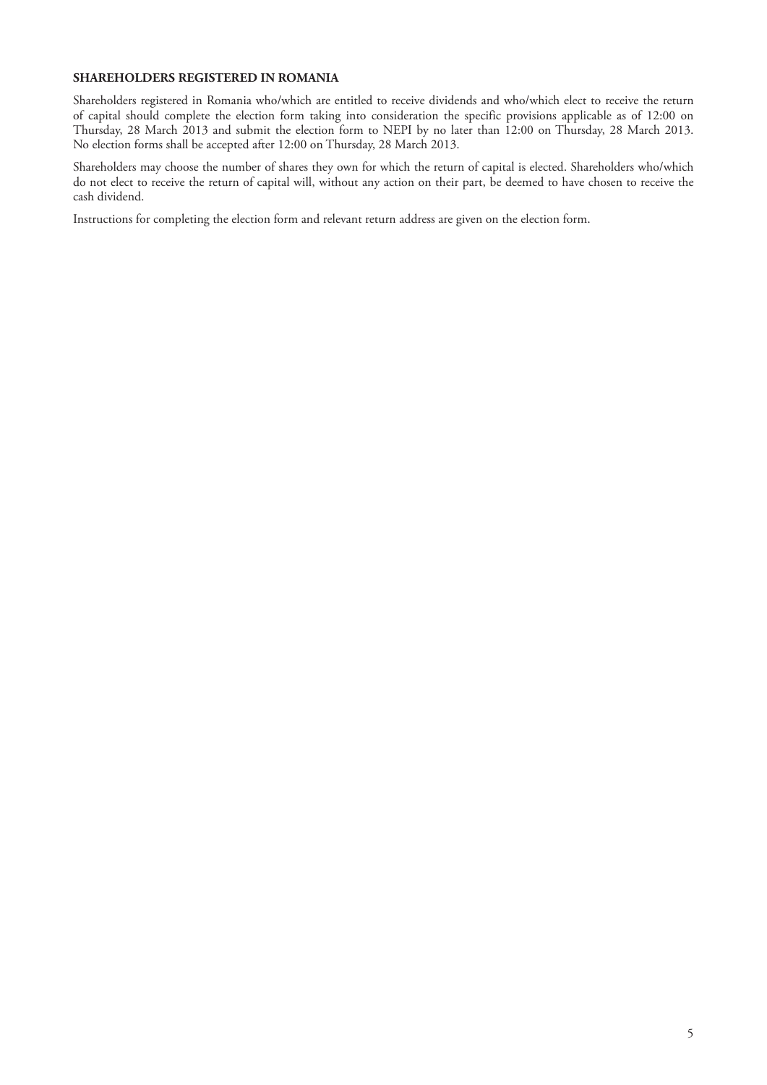## **SHAREHOLDERS REGISTERED IN ROMANIA**

Shareholders registered in Romania who/which are entitled to receive dividends and who/which elect to receive the return of capital should complete the election form taking into consideration the specific provisions applicable as of 12:00 on Thursday, 28 March 2013 and submit the election form to NEPI by no later than 12:00 on Thursday, 28 March 2013. No election forms shall be accepted after 12:00 on Thursday, 28 March 2013.

Shareholders may choose the number of shares they own for which the return of capital is elected. Shareholders who/which do not elect to receive the return of capital will, without any action on their part, be deemed to have chosen to receive the cash dividend.

Instructions for completing the election form and relevant return address are given on the election form.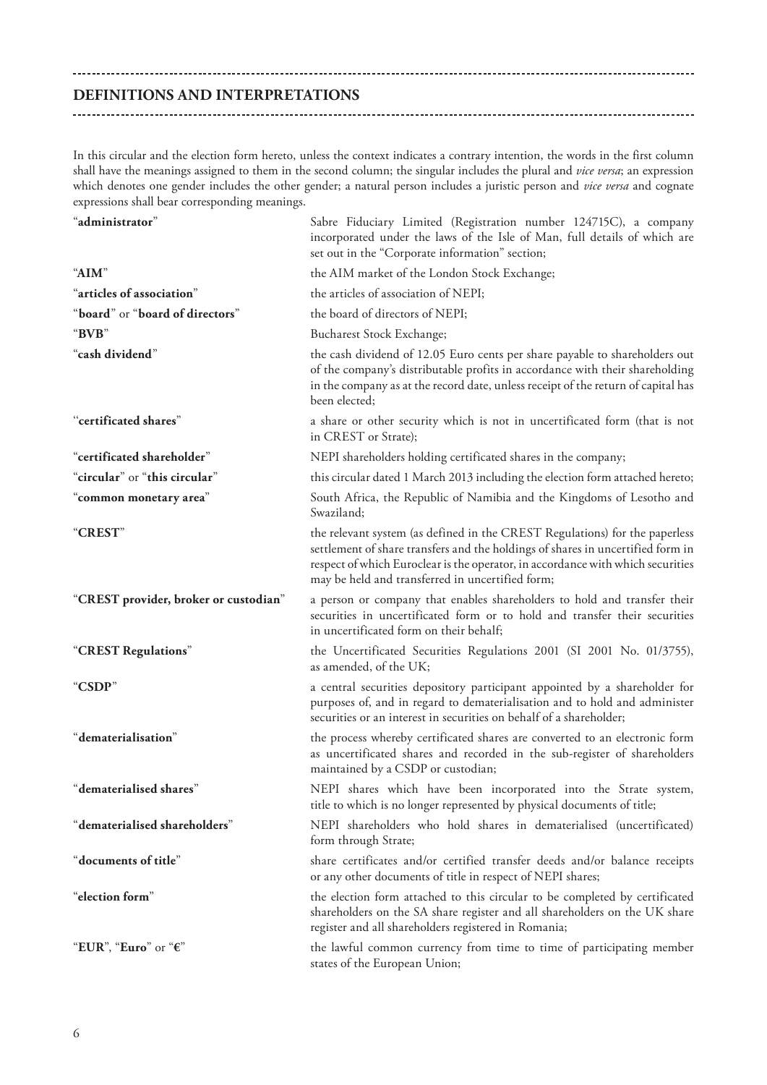## **DEFINITIONS AND INTERPRETATIONS**

In this circular and the election form hereto, unless the context indicates a contrary intention, the words in the first column shall have the meanings assigned to them in the second column; the singular includes the plural and *vice versa*; an expression which denotes one gender includes the other gender; a natural person includes a juristic person and *vice versa* and cognate expressions shall bear corresponding meanings.

| $\lq$ administrator $\lq$             | Sabre Fiduciary Limited (Registration number 124715C), a company<br>incorporated under the laws of the Isle of Man, full details of which are<br>set out in the "Corporate information" section;                                                                                                      |
|---------------------------------------|-------------------------------------------------------------------------------------------------------------------------------------------------------------------------------------------------------------------------------------------------------------------------------------------------------|
| "AIM"                                 | the AIM market of the London Stock Exchange;                                                                                                                                                                                                                                                          |
| "articles of association"             | the articles of association of NEPI;                                                                                                                                                                                                                                                                  |
| "board" or "board of directors"       | the board of directors of NEPI;                                                                                                                                                                                                                                                                       |
| $\lq \mathbf{BVB} \rq$                | <b>Bucharest Stock Exchange;</b>                                                                                                                                                                                                                                                                      |
| "cash dividend"                       | the cash dividend of 12.05 Euro cents per share payable to shareholders out<br>of the company's distributable profits in accordance with their shareholding<br>in the company as at the record date, unless receipt of the return of capital has<br>been elected:                                     |
| "certificated shares"                 | a share or other security which is not in uncertificated form (that is not<br>in CREST or Strate);                                                                                                                                                                                                    |
| "certificated shareholder"            | NEPI shareholders holding certificated shares in the company;                                                                                                                                                                                                                                         |
| "circular" or "this circular"         | this circular dated 1 March 2013 including the election form attached hereto;                                                                                                                                                                                                                         |
| "common monetary area"                | South Africa, the Republic of Namibia and the Kingdoms of Lesotho and<br>Swaziland:                                                                                                                                                                                                                   |
| "CREST"                               | the relevant system (as defined in the CREST Regulations) for the paperless<br>settlement of share transfers and the holdings of shares in uncertified form in<br>respect of which Euroclear is the operator, in accordance with which securities<br>may be held and transferred in uncertified form; |
| "CREST provider, broker or custodian" | a person or company that enables shareholders to hold and transfer their<br>securities in uncertificated form or to hold and transfer their securities<br>in uncertificated form on their behalf;                                                                                                     |
| "CREST Regulations"                   | the Uncertificated Securities Regulations 2001 (SI 2001 No. 01/3755),<br>as amended, of the UK;                                                                                                                                                                                                       |
| "CSDP"                                | a central securities depository participant appointed by a shareholder for<br>purposes of, and in regard to dematerialisation and to hold and administer<br>securities or an interest in securities on behalf of a shareholder;                                                                       |
| "dematerialisation"                   | the process whereby certificated shares are converted to an electronic form<br>as uncertificated shares and recorded in the sub-register of shareholders<br>maintained by a CSDP or custodian;                                                                                                        |
| "dematerialised shares"               | NEPI shares which have been incorporated into the Strate system,<br>title to which is no longer represented by physical documents of title;                                                                                                                                                           |
| "dematerialised shareholders"         | NEPI shareholders who hold shares in dematerialised (uncertificated)<br>form through Strate;                                                                                                                                                                                                          |
| "documents of title"                  | share certificates and/or certified transfer deeds and/or balance receipts<br>or any other documents of title in respect of NEPI shares;                                                                                                                                                              |
| "election form"                       | the election form attached to this circular to be completed by certificated<br>shareholders on the SA share register and all shareholders on the UK share<br>register and all shareholders registered in Romania;                                                                                     |
| "EUR", "Euro" or "€"                  | the lawful common currency from time to time of participating member<br>states of the European Union;                                                                                                                                                                                                 |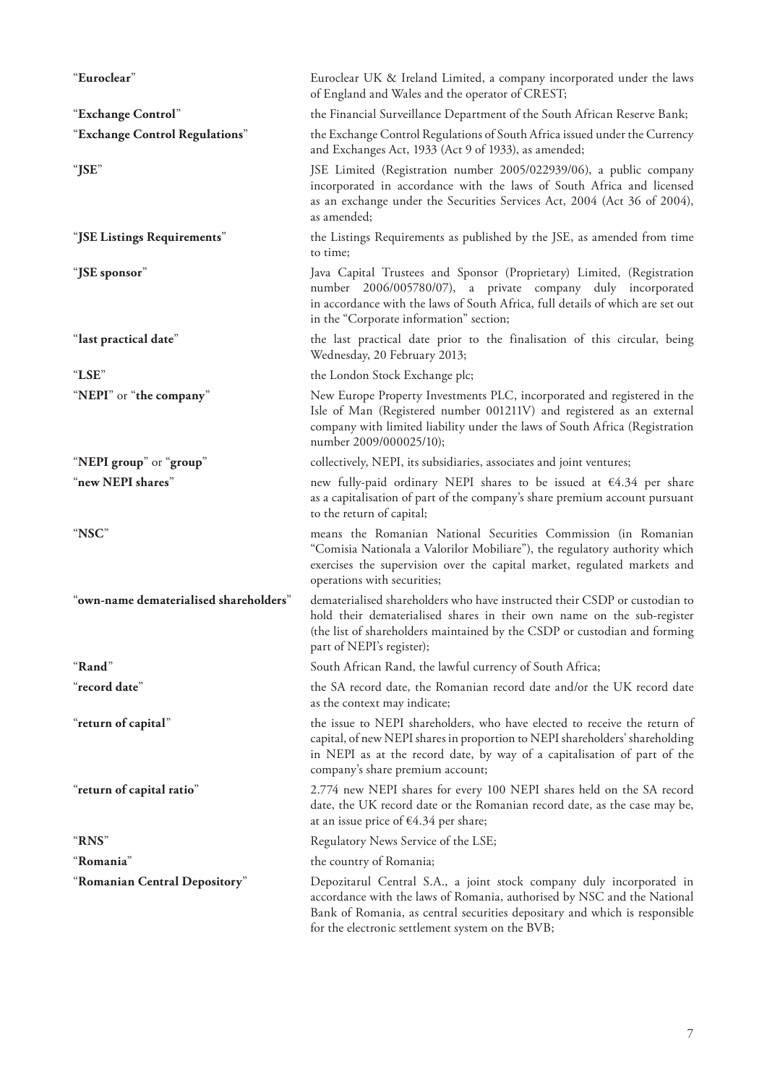| "Euroclear"                            | Euroclear UK & Ireland Limited, a company incorporated under the laws<br>of England and Wales and the operator of CREST;                                                                                                                                                          |
|----------------------------------------|-----------------------------------------------------------------------------------------------------------------------------------------------------------------------------------------------------------------------------------------------------------------------------------|
| "Exchange Control"                     | the Financial Surveillance Department of the South African Reserve Bank;                                                                                                                                                                                                          |
| "Exchange Control Regulations"         | the Exchange Control Regulations of South Africa issued under the Currency<br>and Exchanges Act, 1933 (Act 9 of 1933), as amended;                                                                                                                                                |
| "JSE"                                  | JSE Limited (Registration number 2005/022939/06), a public company<br>incorporated in accordance with the laws of South Africa and licensed<br>as an exchange under the Securities Services Act, 2004 (Act 36 of 2004),<br>as amended;                                            |
| "JSE Listings Requirements"            | the Listings Requirements as published by the JSE, as amended from time<br>to time;                                                                                                                                                                                               |
| "JSE sponsor"                          | Java Capital Trustees and Sponsor (Proprietary) Limited, (Registration<br>number 2006/005780/07), a private company duly incorporated<br>in accordance with the laws of South Africa, full details of which are set out<br>in the "Corporate information" section;                |
| "last practical date"                  | the last practical date prior to the finalisation of this circular, being<br>Wednesday, 20 February 2013;                                                                                                                                                                         |
| "LSE"                                  | the London Stock Exchange plc;                                                                                                                                                                                                                                                    |
| "NEPI" or "the company"                | New Europe Property Investments PLC, incorporated and registered in the<br>Isle of Man (Registered number 001211V) and registered as an external<br>company with limited liability under the laws of South Africa (Registration<br>number 2009/000025/10);                        |
| "NEPI group" or "group"                | collectively, NEPI, its subsidiaries, associates and joint ventures;                                                                                                                                                                                                              |
| "new NEPI shares"                      | new fully-paid ordinary NEPI shares to be issued at $64.34$ per share<br>as a capitalisation of part of the company's share premium account pursuant<br>to the return of capital;                                                                                                 |
| "NSC"                                  | means the Romanian National Securities Commission (in Romanian<br>"Comisia Nationala a Valorilor Mobiliare"), the regulatory authority which<br>exercises the supervision over the capital market, regulated markets and<br>operations with securities;                           |
| "own-name dematerialised shareholders" | dematerialised shareholders who have instructed their CSDP or custodian to<br>hold their dematerialised shares in their own name on the sub-register<br>(the list of shareholders maintained by the CSDP or custodian and forming<br>part of NEPI's register);                    |
| "Rand"                                 | South African Rand, the lawful currency of South Africa;                                                                                                                                                                                                                          |
| "record date"                          | the SA record date, the Romanian record date and/or the UK record date<br>as the context may indicate;                                                                                                                                                                            |
| "return of capital"                    | the issue to NEPI shareholders, who have elected to receive the return of<br>capital, of new NEPI shares in proportion to NEPI shareholders' shareholding<br>in NEPI as at the record date, by way of a capitalisation of part of the<br>company's share premium account;         |
| "return of capital ratio"              | 2.774 new NEPI shares for every 100 NEPI shares held on the SA record<br>date, the UK record date or the Romanian record date, as the case may be,<br>at an issue price of $€4.34$ per share;                                                                                     |
| "RNS"                                  | Regulatory News Service of the LSE;                                                                                                                                                                                                                                               |
| "Romania"                              | the country of Romania;                                                                                                                                                                                                                                                           |
| "Romanian Central Depository"          | Depozitarul Central S.A., a joint stock company duly incorporated in<br>accordance with the laws of Romania, authorised by NSC and the National<br>Bank of Romania, as central securities depositary and which is responsible<br>for the electronic settlement system on the BVB; |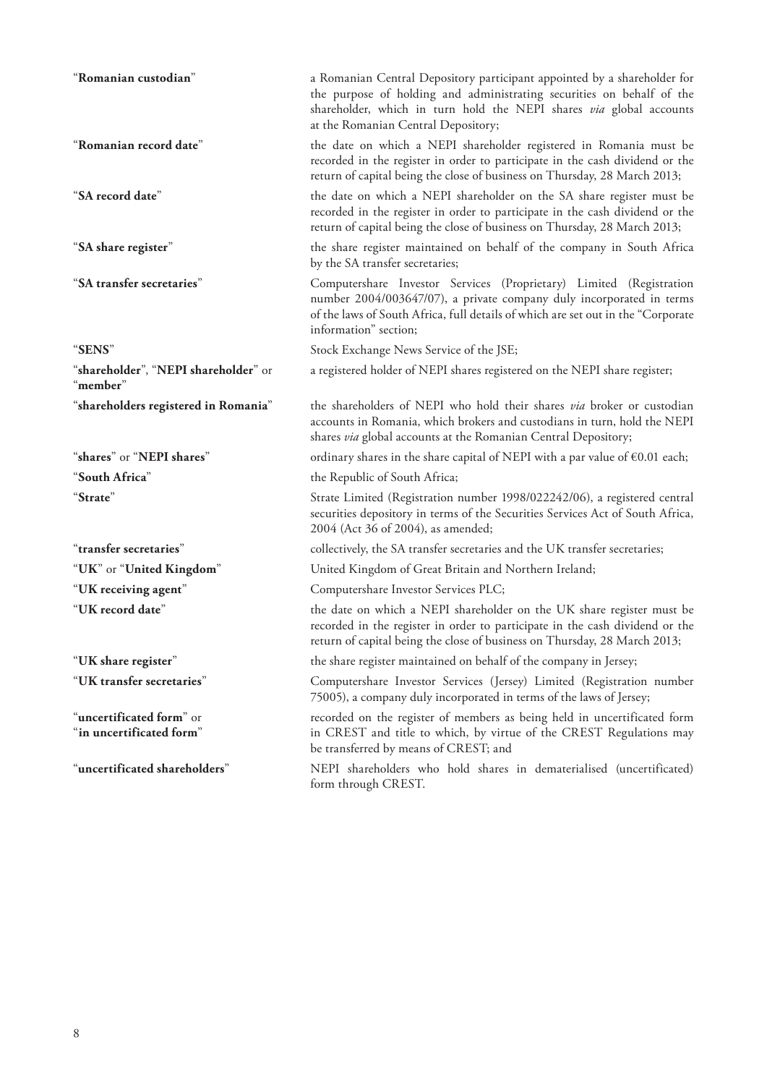| "Romanian custodian"                                 | a Romanian Central Depository participant appointed by a shareholder for<br>the purpose of holding and administrating securities on behalf of the<br>shareholder, which in turn hold the NEPI shares via global accounts<br>at the Romanian Central Depository; |
|------------------------------------------------------|-----------------------------------------------------------------------------------------------------------------------------------------------------------------------------------------------------------------------------------------------------------------|
| "Romanian record date"                               | the date on which a NEPI shareholder registered in Romania must be<br>recorded in the register in order to participate in the cash dividend or the<br>return of capital being the close of business on Thursday, 28 March 2013;                                 |
| "SA record date"                                     | the date on which a NEPI shareholder on the SA share register must be<br>recorded in the register in order to participate in the cash dividend or the<br>return of capital being the close of business on Thursday, 28 March 2013;                              |
| "SA share register"                                  | the share register maintained on behalf of the company in South Africa<br>by the SA transfer secretaries;                                                                                                                                                       |
| "SA transfer secretaries"                            | Computershare Investor Services (Proprietary) Limited (Registration<br>number 2004/003647/07), a private company duly incorporated in terms<br>of the laws of South Africa, full details of which are set out in the "Corporate<br>information" section;        |
| "SENS"                                               | Stock Exchange News Service of the JSE;                                                                                                                                                                                                                         |
| "shareholder", "NEPI shareholder" or<br>"member"     | a registered holder of NEPI shares registered on the NEPI share register;                                                                                                                                                                                       |
| "shareholders registered in Romania"                 | the shareholders of NEPI who hold their shares via broker or custodian<br>accounts in Romania, which brokers and custodians in turn, hold the NEPI<br>shares via global accounts at the Romanian Central Depository;                                            |
| "shares" or "NEPI shares"                            | ordinary shares in the share capital of NEPI with a par value of $\epsilon$ 0.01 each;                                                                                                                                                                          |
| "South Africa"                                       | the Republic of South Africa;                                                                                                                                                                                                                                   |
| "Strate"                                             | Strate Limited (Registration number 1998/022242/06), a registered central<br>securities depository in terms of the Securities Services Act of South Africa,<br>2004 (Act 36 of 2004), as amended;                                                               |
| "transfer secretaries"                               | collectively, the SA transfer secretaries and the UK transfer secretaries;                                                                                                                                                                                      |
| "UK" or "United Kingdom"                             | United Kingdom of Great Britain and Northern Ireland;                                                                                                                                                                                                           |
| "UK receiving agent"                                 | Computershare Investor Services PLC;                                                                                                                                                                                                                            |
| "UK record date"                                     | the date on which a NEPI shareholder on the UK share register must be<br>recorded in the register in order to participate in the cash dividend or the<br>return of capital being the close of business on Thursday, 28 March 2013;                              |
| "UK share register"                                  | the share register maintained on behalf of the company in Jersey;                                                                                                                                                                                               |
| "UK transfer secretaries"                            | Computershare Investor Services (Jersey) Limited (Registration number<br>75005), a company duly incorporated in terms of the laws of Jersey;                                                                                                                    |
| "uncertificated form" or<br>"in uncertificated form" | recorded on the register of members as being held in uncertificated form<br>in CREST and title to which, by virtue of the CREST Regulations may<br>be transferred by means of CREST; and                                                                        |
| "uncertificated shareholders"                        | NEPI shareholders who hold shares in dematerialised (uncertificated)<br>form through CREST.                                                                                                                                                                     |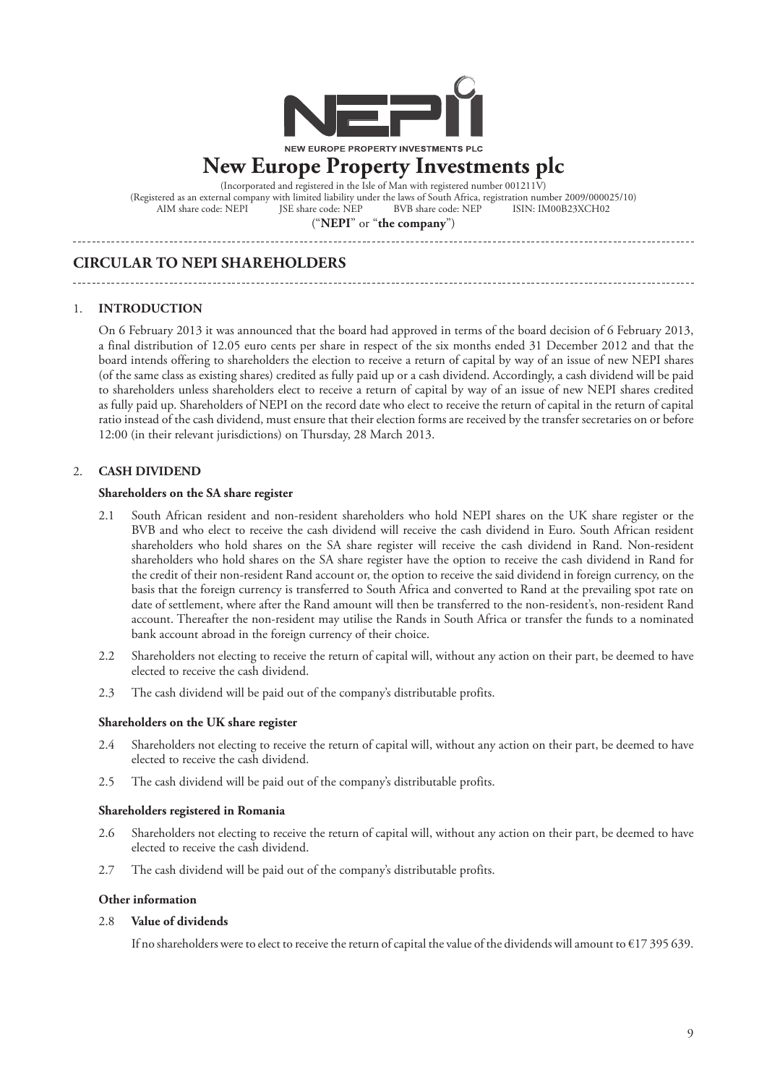

# **New Europe Property Investments plc**

(Incorporated and registered in the Isle of Man with registered number 001211 $\overline{V}$ ) (Registered as an external company with limited liability under the laws of South Africa, registration number 2009/000025/10)<br>AIM share code: NEPI JSE share code: NEP BVB share code: NEP ISIN: IM00B23XCH02 BVB share code: NEP

("**NEPI**" or "**the company**")

## **CIRCULAR TO NEPI SHAREHOLDERS**

## 1. **INTRODUCTION**

On 6 February 2013 it was announced that the board had approved in terms of the board decision of 6 February 2013, a final distribution of 12.05 euro cents per share in respect of the six months ended 31 December 2012 and that the board intends offering to shareholders the election to receive a return of capital by way of an issue of new NEPI shares (of the same class as existing shares) credited as fully paid up or a cash dividend. Accordingly, a cash dividend will be paid to shareholders unless shareholders elect to receive a return of capital by way of an issue of new NEPI shares credited as fully paid up. Shareholders of NEPI on the record date who elect to receive the return of capital in the return of capital ratio instead of the cash dividend, must ensure that their election forms are received by the transfer secretaries on or before 12:00 (in their relevant jurisdictions) on Thursday, 28 March 2013.

## 2. **CASH DIVIDEND**

## **Shareholders on the SA share register**

- 2.1 South African resident and non-resident shareholders who hold NEPI shares on the UK share register or the BVB and who elect to receive the cash dividend will receive the cash dividend in Euro. South African resident shareholders who hold shares on the SA share register will receive the cash dividend in Rand. Non-resident shareholders who hold shares on the SA share register have the option to receive the cash dividend in Rand for the credit of their non-resident Rand account or, the option to receive the said dividend in foreign currency, on the basis that the foreign currency is transferred to South Africa and converted to Rand at the prevailing spot rate on date of settlement, where after the Rand amount will then be transferred to the non-resident's, non-resident Rand account. Thereafter the non-resident may utilise the Rands in South Africa or transfer the funds to a nominated bank account abroad in the foreign currency of their choice.
- 2.2 Shareholders not electing to receive the return of capital will, without any action on their part, be deemed to have elected to receive the cash dividend.
- 2.3 The cash dividend will be paid out of the company's distributable profits.

### **Shareholders on the UK share register**

- 2.4 Shareholders not electing to receive the return of capital will, without any action on their part, be deemed to have elected to receive the cash dividend.
- 2.5 The cash dividend will be paid out of the company's distributable profits.

### **Shareholders registered in Romania**

- 2.6 Shareholders not electing to receive the return of capital will, without any action on their part, be deemed to have elected to receive the cash dividend.
- 2.7 The cash dividend will be paid out of the company's distributable profits.

### **Other information**

### 2.8 **Value of dividends**

If no shareholders were to elect to receive the return of capital the value of the dividends will amount to €17 395 639.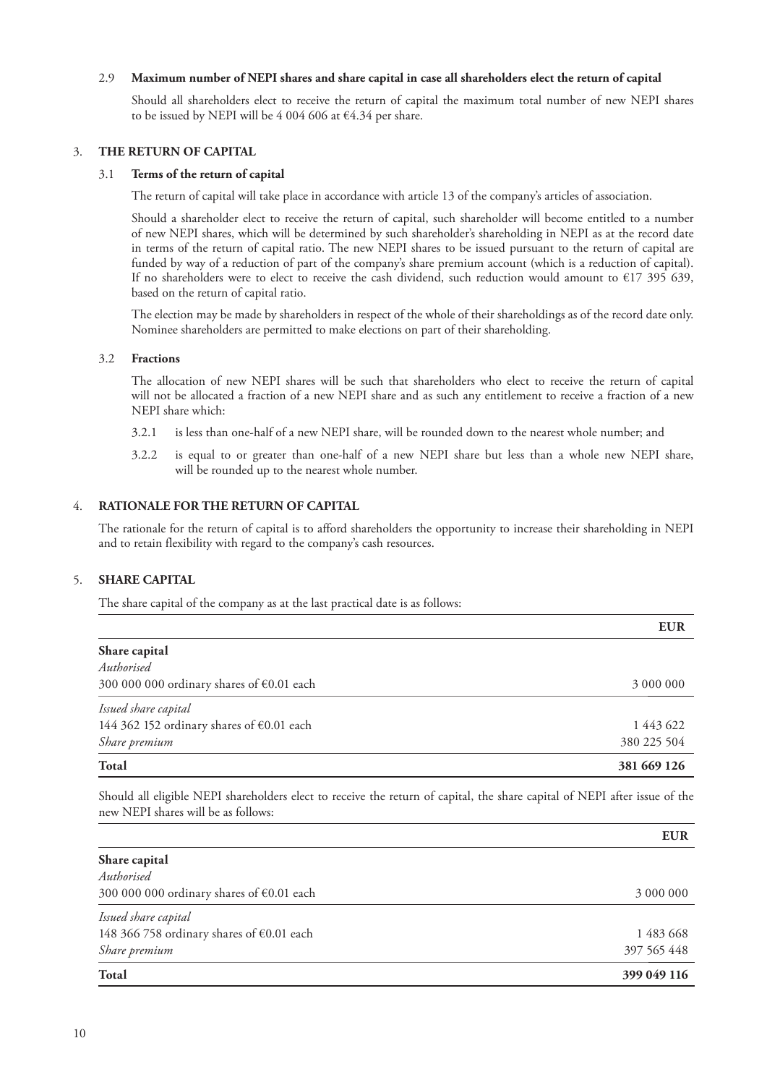## 2.9 **Maximum number of NEPI shares and share capital in case all shareholders elect the return of capital**

Should all shareholders elect to receive the return of capital the maximum total number of new NEPI shares to be issued by NEPI will be 4 004 606 at  $\epsilon$ 4.34 per share.

## 3. **THE RETURN OF CAPITAL**

## 3.1 **Terms of the return of capital**

The return of capital will take place in accordance with article 13 of the company's articles of association.

Should a shareholder elect to receive the return of capital, such shareholder will become entitled to a number of new NEPI shares, which will be determined by such shareholder's shareholding in NEPI as at the record date in terms of the return of capital ratio. The new NEPI shares to be issued pursuant to the return of capital are funded by way of a reduction of part of the company's share premium account (which is a reduction of capital). If no shareholders were to elect to receive the cash dividend, such reduction would amount to  $\epsilon$ 17 395 639, based on the return of capital ratio.

The election may be made by shareholders in respect of the whole of their shareholdings as of the record date only. Nominee shareholders are permitted to make elections on part of their shareholding.

### 3.2 **Fractions**

The allocation of new NEPI shares will be such that shareholders who elect to receive the return of capital will not be allocated a fraction of a new NEPI share and as such any entitlement to receive a fraction of a new NEPI share which:

- 3.2.1 is less than one-half of a new NEPI share, will be rounded down to the nearest whole number; and
- 3.2.2 is equal to or greater than one-half of a new NEPI share but less than a whole new NEPI share, will be rounded up to the nearest whole number.

## 4. **RATIONALE FOR THE RETURN OF CAPITAL**

The rationale for the return of capital is to afford shareholders the opportunity to increase their shareholding in NEPI and to retain flexibility with regard to the company's cash resources.

## 5. **SHARE CAPITAL**

The share capital of the company as at the last practical date is as follows:

|                                                     | <b>EUR</b>  |
|-----------------------------------------------------|-------------|
| Share capital                                       |             |
| Authorised                                          |             |
| 300 000 000 ordinary shares of $\epsilon$ 0.01 each | 3 000 000   |
| Issued share capital                                |             |
| 144 362 152 ordinary shares of €0.01 each           | 1 443 622   |
| Share premium                                       | 380 225 504 |
| <b>Total</b>                                        | 381 669 126 |

Should all eligible NEPI shareholders elect to receive the return of capital, the share capital of NEPI after issue of the new NEPI shares will be as follows:

|                                                     | <b>EUR</b>  |
|-----------------------------------------------------|-------------|
| Share capital                                       |             |
| Authorised                                          |             |
| 300 000 000 ordinary shares of $\epsilon$ 0.01 each | 3 000 000   |
| Issued share capital                                |             |
| 148 366 758 ordinary shares of $\epsilon$ 0.01 each | 1 483 668   |
| Share premium                                       | 397 565 448 |
| <b>Total</b>                                        | 399 049 116 |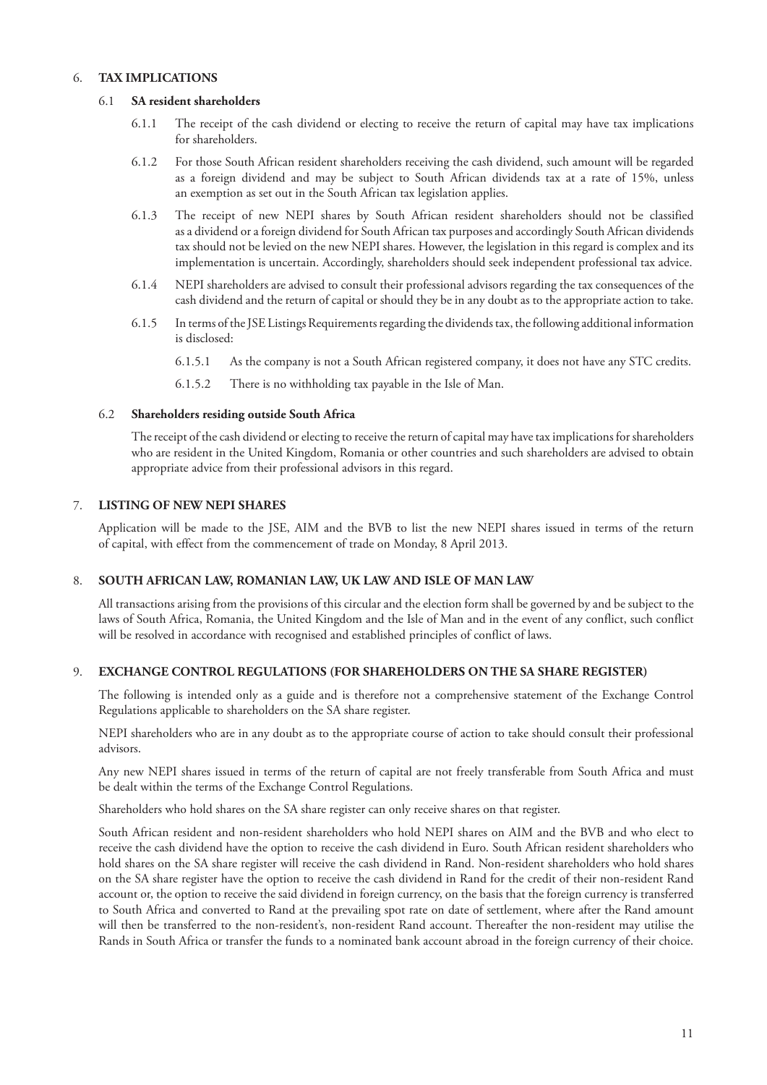## 6. **TAX IMPLICATIONS**

## 6.1 **SA resident shareholders**

- 6.1.1 The receipt of the cash dividend or electing to receive the return of capital may have tax implications for shareholders.
- 6.1.2 For those South African resident shareholders receiving the cash dividend, such amount will be regarded as a foreign dividend and may be subject to South African dividends tax at a rate of 15%, unless an exemption as set out in the South African tax legislation applies.
- 6.1.3 The receipt of new NEPI shares by South African resident shareholders should not be classified as a dividend or a foreign dividend for South African tax purposes and accordingly South African dividends tax should not be levied on the new NEPI shares. However, the legislation in this regard is complex and its implementation is uncertain. Accordingly, shareholders should seek independent professional tax advice.
- 6.1.4 NEPI shareholders are advised to consult their professional advisors regarding the tax consequences of the cash dividend and the return of capital or should they be in any doubt as to the appropriate action to take.
- 6.1.5 In terms of the JSE Listings Requirements regarding the dividends tax, the following additional information is disclosed:
	- 6.1.5.1 As the company is not a South African registered company, it does not have any STC credits.
	- 6.1.5.2 There is no withholding tax payable in the Isle of Man.

## 6.2 **Shareholders residing outside South Africa**

The receipt of the cash dividend or electing to receive the return of capital may have tax implications for shareholders who are resident in the United Kingdom, Romania or other countries and such shareholders are advised to obtain appropriate advice from their professional advisors in this regard.

## 7. **LISTING OF NEW NEPI SHARES**

Application will be made to the JSE, AIM and the BVB to list the new NEPI shares issued in terms of the return of capital, with effect from the commencement of trade on Monday, 8 April 2013.

## 8. **SOUTH AFRICAN LAW, ROMANIAN LAW, UK LAW AND ISLE OF MAN LAW**

All transactions arising from the provisions of this circular and the election form shall be governed by and be subject to the laws of South Africa, Romania, the United Kingdom and the Isle of Man and in the event of any conflict, such conflict will be resolved in accordance with recognised and established principles of conflict of laws.

## 9. **EXCHANGE CONTROL REGULATIONS (FOR SHAREHOLDERS ON THE SA SHARE REGISTER)**

The following is intended only as a guide and is therefore not a comprehensive statement of the Exchange Control Regulations applicable to shareholders on the SA share register.

NEPI shareholders who are in any doubt as to the appropriate course of action to take should consult their professional advisors.

Any new NEPI shares issued in terms of the return of capital are not freely transferable from South Africa and must be dealt within the terms of the Exchange Control Regulations.

Shareholders who hold shares on the SA share register can only receive shares on that register.

South African resident and non-resident shareholders who hold NEPI shares on AIM and the BVB and who elect to receive the cash dividend have the option to receive the cash dividend in Euro. South African resident shareholders who hold shares on the SA share register will receive the cash dividend in Rand. Non-resident shareholders who hold shares on the SA share register have the option to receive the cash dividend in Rand for the credit of their non-resident Rand account or, the option to receive the said dividend in foreign currency, on the basis that the foreign currency is transferred to South Africa and converted to Rand at the prevailing spot rate on date of settlement, where after the Rand amount will then be transferred to the non-resident's, non-resident Rand account. Thereafter the non-resident may utilise the Rands in South Africa or transfer the funds to a nominated bank account abroad in the foreign currency of their choice.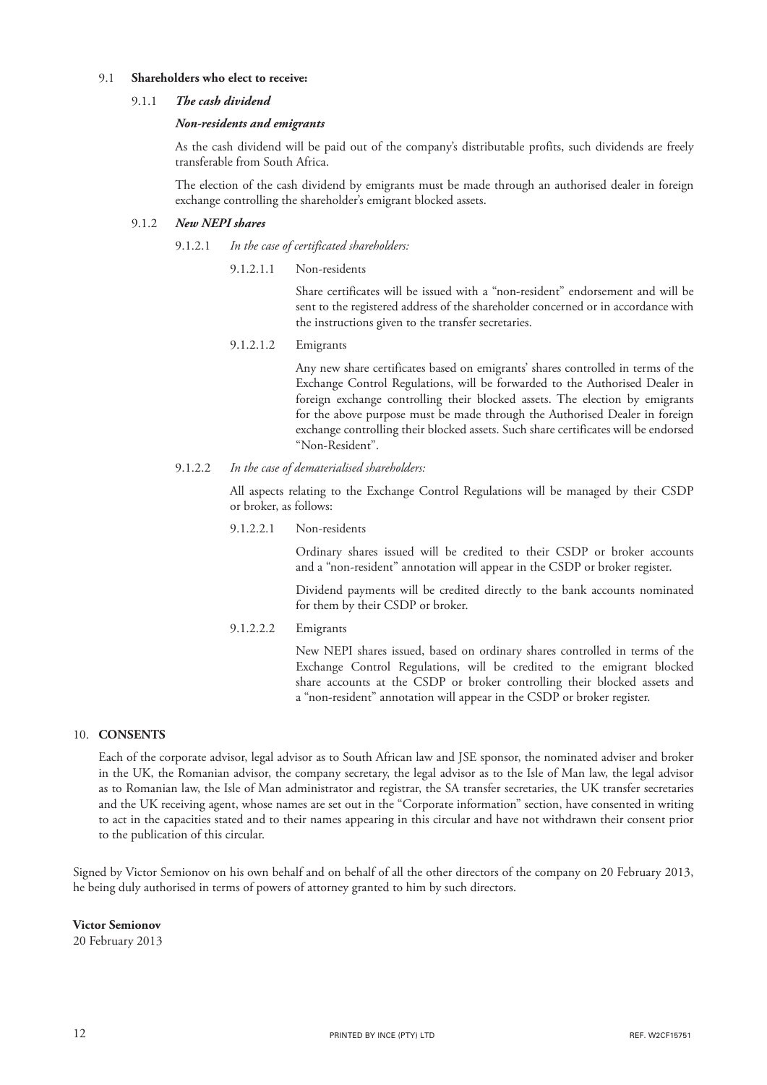## 9.1 **Shareholders who elect to receive:**

### 9.1.1 *The cash dividend*

### *Non-residents and emigrants*

As the cash dividend will be paid out of the company's distributable profits, such dividends are freely transferable from South Africa.

The election of the cash dividend by emigrants must be made through an authorised dealer in foreign exchange controlling the shareholder's emigrant blocked assets.

## 9.1.2 *New NEPI shares*

- 9.1.2.1 *In the case of certificated shareholders:*
	- 9.1.2.1.1 Non-residents

Share certificates will be issued with a "non-resident" endorsement and will be sent to the registered address of the shareholder concerned or in accordance with the instructions given to the transfer secretaries.

9.1.2.1.2 Emigrants

Any new share certificates based on emigrants' shares controlled in terms of the Exchange Control Regulations, will be forwarded to the Authorised Dealer in foreign exchange controlling their blocked assets. The election by emigrants for the above purpose must be made through the Authorised Dealer in foreign exchange controlling their blocked assets. Such share certificates will be endorsed "Non-Resident".

9.1.2.2 *In the case of dematerialised shareholders:*

All aspects relating to the Exchange Control Regulations will be managed by their CSDP or broker, as follows:

9.1.2.2.1 Non-residents

Ordinary shares issued will be credited to their CSDP or broker accounts and a "non-resident" annotation will appear in the CSDP or broker register.

Dividend payments will be credited directly to the bank accounts nominated for them by their CSDP or broker.

9.1.2.2.2 Emigrants

New NEPI shares issued, based on ordinary shares controlled in terms of the Exchange Control Regulations, will be credited to the emigrant blocked share accounts at the CSDP or broker controlling their blocked assets and a "non-resident" annotation will appear in the CSDP or broker register.

### 10. **CONSENTS**

Each of the corporate advisor, legal advisor as to South African law and JSE sponsor, the nominated adviser and broker in the UK, the Romanian advisor, the company secretary, the legal advisor as to the Isle of Man law, the legal advisor as to Romanian law, the Isle of Man administrator and registrar, the SA transfer secretaries, the UK transfer secretaries and the UK receiving agent, whose names are set out in the "Corporate information" section, have consented in writing to act in the capacities stated and to their names appearing in this circular and have not withdrawn their consent prior to the publication of this circular.

Signed by Victor Semionov on his own behalf and on behalf of all the other directors of the company on 20 February 2013, he being duly authorised in terms of powers of attorney granted to him by such directors.

**Victor Semionov**

20 February 2013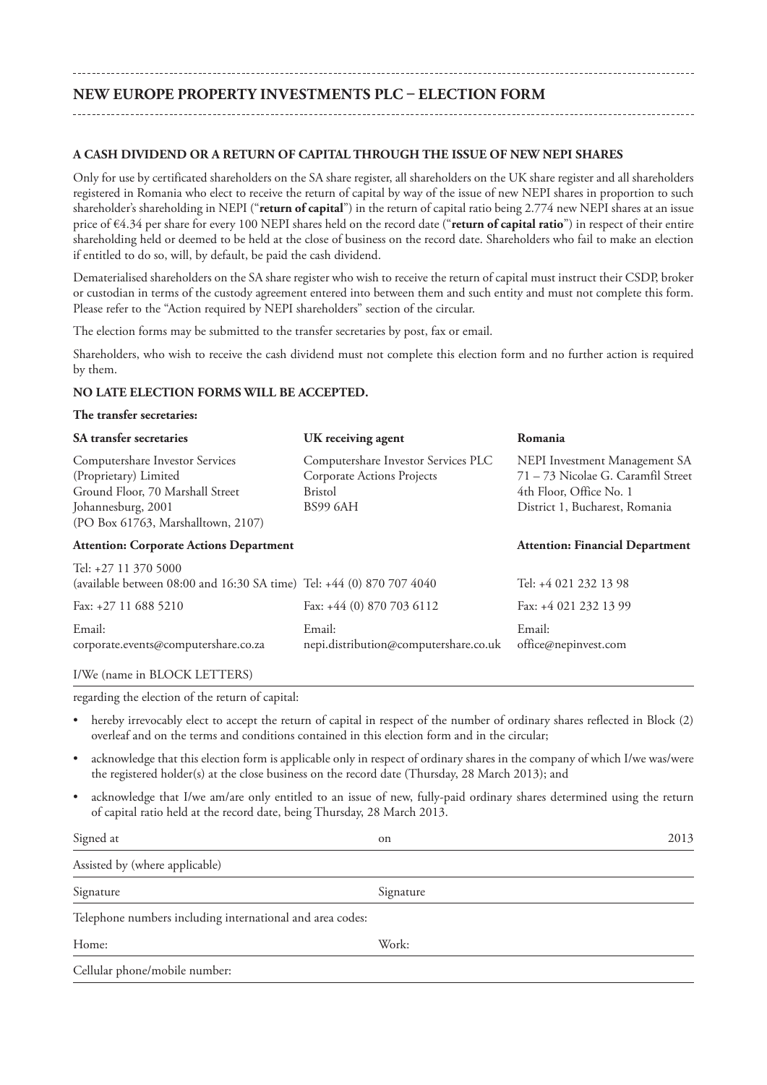# **NEW EUROPE PROPERTY INVESTMENTS PLC – ELECTION FORM**

## **A CASH DIVIDEND OR A RETURN OF CAPITAL THROUGH THE ISSUE OF NEW NEPI SHARES**

Only for use by certificated shareholders on the SA share register, all shareholders on the UK share register and all shareholders registered in Romania who elect to receive the return of capital by way of the issue of new NEPI shares in proportion to such shareholder's shareholding in NEPI ("**return of capital**") in the return of capital ratio being 2.774 new NEPI shares at an issue price of €4.34 per share for every 100 NEPI shares held on the record date ("**return of capital ratio**") in respect of their entire shareholding held or deemed to be held at the close of business on the record date. Shareholders who fail to make an election if entitled to do so, will, by default, be paid the cash dividend.

Dematerialised shareholders on the SA share register who wish to receive the return of capital must instruct their CSDP, broker or custodian in terms of the custody agreement entered into between them and such entity and must not complete this form. Please refer to the "Action required by NEPI shareholders" section of the circular.

The election forms may be submitted to the transfer secretaries by post, fax or email.

Shareholders, who wish to receive the cash dividend must not complete this election form and no further action is required by them.

### **NO LATE ELECTION FORMS WILL BE ACCEPTED.**

### **The transfer secretaries:**

| <b>SA</b> transfer secretaries                                                                                                                           | UK receiving agent                                                                                            | Romania                                                                                                                          |
|----------------------------------------------------------------------------------------------------------------------------------------------------------|---------------------------------------------------------------------------------------------------------------|----------------------------------------------------------------------------------------------------------------------------------|
| Computershare Investor Services<br>(Proprietary) Limited<br>Ground Floor, 70 Marshall Street<br>Johannesburg, 2001<br>(PO Box 61763, Marshalltown, 2107) | Computershare Investor Services PLC<br><b>Corporate Actions Projects</b><br><b>Bristol</b><br><b>BS99 6AH</b> | NEPI Investment Management SA<br>71 - 73 Nicolae G. Caramfil Street<br>4th Floor, Office No. 1<br>District 1, Bucharest, Romania |
| <b>Attention: Corporate Actions Department</b>                                                                                                           |                                                                                                               | <b>Attention: Financial Department</b>                                                                                           |
| Tel: +27 11 370 5000<br>(available between 08:00 and 16:30 SA time) Tel: +44 (0) 870 707 4040                                                            |                                                                                                               | Tel: +4 021 232 13 98                                                                                                            |
| Fax: $+27$ 11 688 5210                                                                                                                                   | Fax: $+44$ (0) 870 703 6112                                                                                   | Fax: +4 021 232 13 99                                                                                                            |
| Email:<br>corporate.events@computershare.co.za                                                                                                           | Email:<br>nepi.distribution@computershare.co.uk                                                               | Email:<br>office@nepinvest.com                                                                                                   |

### I/We (name in BLOCK LETTERS)

regarding the election of the return of capital:

- hereby irrevocably elect to accept the return of capital in respect of the number of ordinary shares reflected in Block (2) overleaf and on the terms and conditions contained in this election form and in the circular;
- acknowledge that this election form is applicable only in respect of ordinary shares in the company of which I/we was/were the registered holder(s) at the close business on the record date (Thursday, 28 March 2013); and
- acknowledge that I/we am/are only entitled to an issue of new, fully-paid ordinary shares determined using the return of capital ratio held at the record date, being Thursday, 28 March 2013.

| Signed at                                                 | on        | 2013 |  |  |
|-----------------------------------------------------------|-----------|------|--|--|
| Assisted by (where applicable)                            |           |      |  |  |
| Signature                                                 | Signature |      |  |  |
| Telephone numbers including international and area codes: |           |      |  |  |
| Home:                                                     | Work:     |      |  |  |
| Cellular phone/mobile number:                             |           |      |  |  |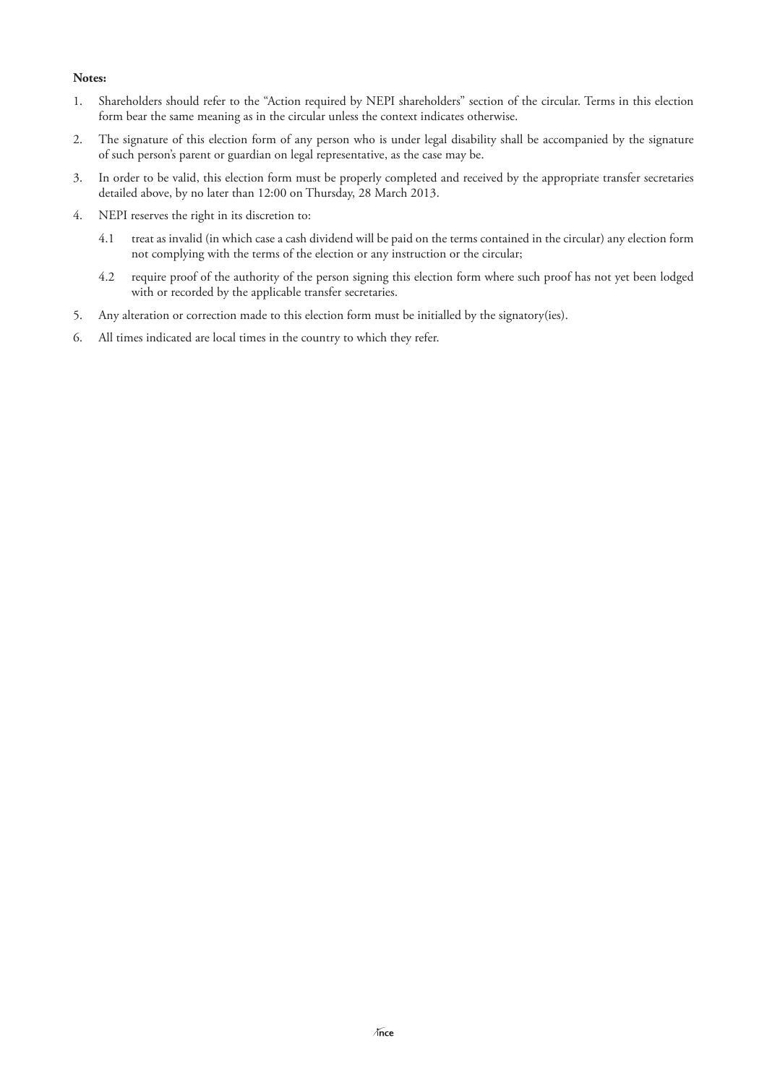## **Notes:**

- 1. Shareholders should refer to the "Action required by NEPI shareholders" section of the circular. Terms in this election form bear the same meaning as in the circular unless the context indicates otherwise.
- 2. The signature of this election form of any person who is under legal disability shall be accompanied by the signature of such person's parent or guardian on legal representative, as the case may be.
- 3. In order to be valid, this election form must be properly completed and received by the appropriate transfer secretaries detailed above, by no later than 12:00 on Thursday, 28 March 2013.
- 4. NEPI reserves the right in its discretion to:
	- 4.1 treat as invalid (in which case a cash dividend will be paid on the terms contained in the circular) any election form not complying with the terms of the election or any instruction or the circular;
	- 4.2 require proof of the authority of the person signing this election form where such proof has not yet been lodged with or recorded by the applicable transfer secretaries.
- 5. Any alteration or correction made to this election form must be initialled by the signatory(ies).
- 6. All times indicated are local times in the country to which they refer.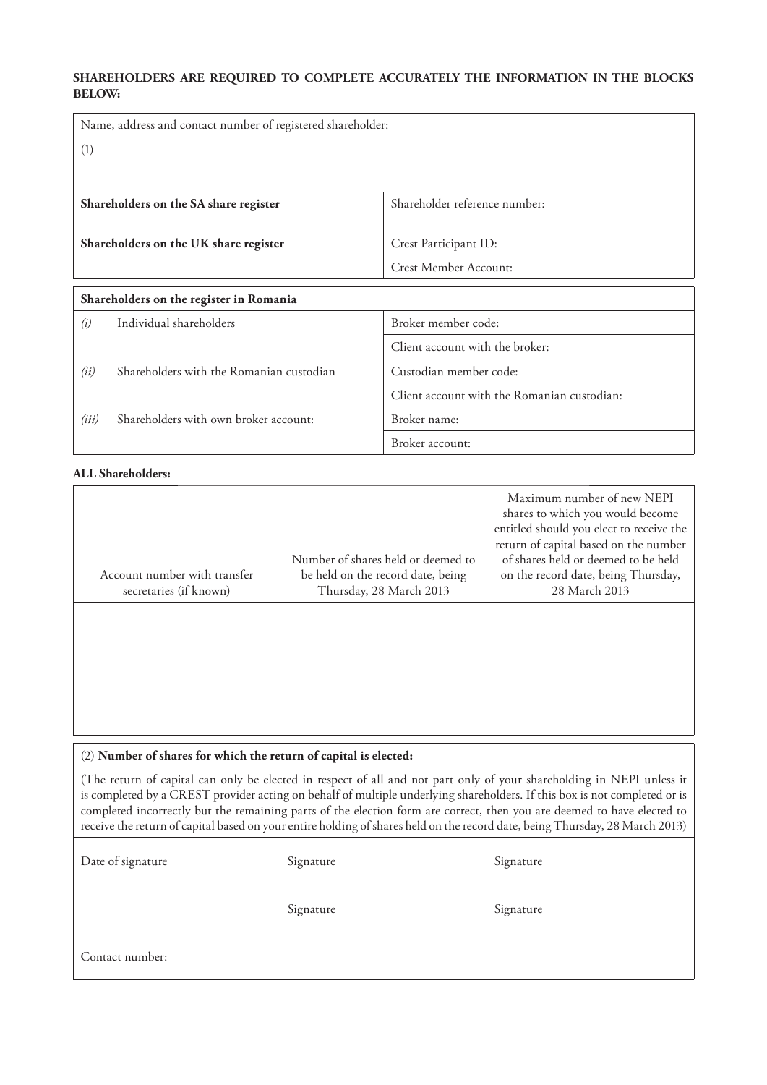## **SHAREHOLDERS ARE REQUIRED TO COMPLETE ACCURATELY THE INFORMATION IN THE BLOCKS BELOW:**

| Name, address and contact number of registered shareholder: |                                          |  |
|-------------------------------------------------------------|------------------------------------------|--|
| (1)                                                         |                                          |  |
|                                                             |                                          |  |
|                                                             | Shareholder reference number:            |  |
| Shareholders on the SA share register                       |                                          |  |
| Shareholders on the UK share register                       | Crest Participant ID:                    |  |
|                                                             | Crest Member Account:                    |  |
| Shareholders on the register in Romania                     |                                          |  |
| $\langle \cdot \rangle$ . In dividual above baldons         | $D$ ualzan maamahan aadaa $\overline{D}$ |  |

| (i)   | Individual shareholders                  | Broker member code:                         |  |
|-------|------------------------------------------|---------------------------------------------|--|
|       |                                          | Client account with the broker:             |  |
| (ii)  | Shareholders with the Romanian custodian | Custodian member code:                      |  |
|       |                                          | Client account with the Romanian custodian: |  |
| (iii) | Shareholders with own broker account:    | Broker name:                                |  |
|       |                                          | Broker account:                             |  |

## **ALL Shareholders:**

| Account number with transfer<br>secretaries (if known) | Number of shares held or deemed to<br>be held on the record date, being<br>Thursday, 28 March 2013 | Maximum number of new NEPI<br>shares to which you would become<br>entitled should you elect to receive the<br>return of capital based on the number<br>of shares held or deemed to be held<br>on the record date, being Thursday,<br>28 March 2013 |
|--------------------------------------------------------|----------------------------------------------------------------------------------------------------|----------------------------------------------------------------------------------------------------------------------------------------------------------------------------------------------------------------------------------------------------|
|                                                        |                                                                                                    |                                                                                                                                                                                                                                                    |

## (2) **Number of shares for which the return of capital is elected:**

(The return of capital can only be elected in respect of all and not part only of your shareholding in NEPI unless it is completed by a CREST provider acting on behalf of multiple underlying shareholders. If this box is not completed or is completed incorrectly but the remaining parts of the election form are correct, then you are deemed to have elected to receive the return of capital based on your entire holding of shares held on the record date, being Thursday, 28 March 2013)

| Date of signature | Signature | Signature |
|-------------------|-----------|-----------|
|                   | Signature | Signature |
| Contact number:   |           |           |